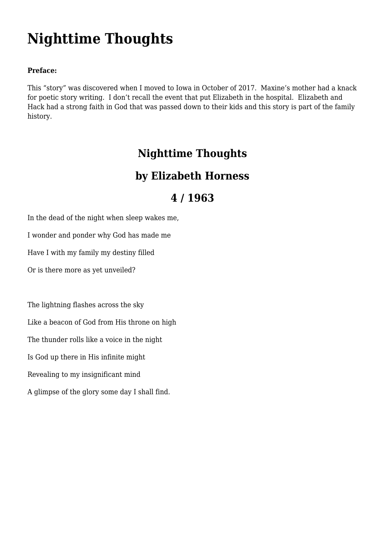# **[Nighttime Thoughts](https://www.garystrattonfirefighter.com/2018/01/15/nighttime-thoughts/)**

#### **Preface:**

This "story" was discovered when I moved to Iowa in October of 2017. Maxine's mother had a knack for poetic story writing. I don't recall the event that put Elizabeth in the hospital. Elizabeth and Hack had a strong faith in God that was passed down to their kids and this story is part of the family history.

### **Nighttime Thoughts**

### **by Elizabeth Horness**

## **4 / 1963**

In the dead of the night when sleep wakes me,

I wonder and ponder why God has made me

Have I with my family my destiny filled

Or is there more as yet unveiled?

The lightning flashes across the sky Like a beacon of God from His throne on high The thunder rolls like a voice in the night Is God up there in His infinite might Revealing to my insignificant mind A glimpse of the glory some day I shall find.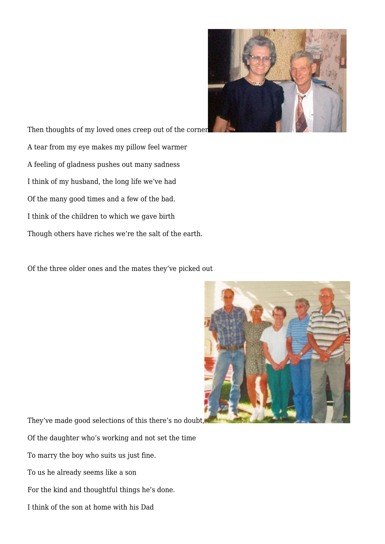

Then thoughts of my loved ones creep out of the corne[r](https://www.garystrattonfirefighter.com/wp-content/uploads/2018/01/BethHack_001.jpg) A tear from my eye makes my pillow feel warmer A feeling of gladness pushes out many sadness I think of my husband, the long life we've had Of the many good times and a few of the bad. I think of the children to which we gave birth Though others have riches we're the salt of the earth.

Of the three older ones and the mates they've picked out



They've made good selections of this there's no doubt[,](https://www.garystrattonfirefighter.com/wp-content/uploads/2018/01/HornessKids_002.jpg)

Of the daughter who's working and not set the time

To marry the boy who suits us just fine.

To us he already seems like a son

For the kind and thoughtful things he's done.

I think of the son at home with his Dad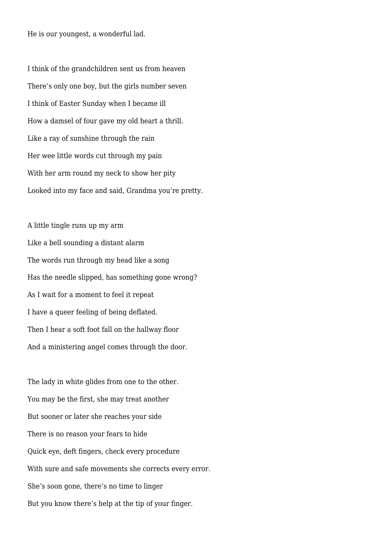He is our youngest, a wonderful lad.

I think of the grandchildren sent us from heaven There's only one boy, but the girls number seven I think of Easter Sunday when I became ill How a damsel of four gave my old heart a thrill. Like a ray of sunshine through the rain Her wee little words cut through my pain With her arm round my neck to show her pity Looked into my face and said, Grandma you're pretty.

A little tingle runs up my arm Like a bell sounding a distant alarm The words run through my head like a song Has the needle slipped, has something gone wrong? As I wait for a moment to feel it repeat I have a queer feeling of being deflated. Then I hear a soft foot fall on the hallway floor And a ministering angel comes through the door.

The lady in white glides from one to the other. You may be the first, she may treat another But sooner or later she reaches your side There is no reason your fears to hide Quick eye, deft fingers, check every procedure With sure and safe movements she corrects every error. She's soon gone, there's no time to linger But you know there's help at the tip of your finger.